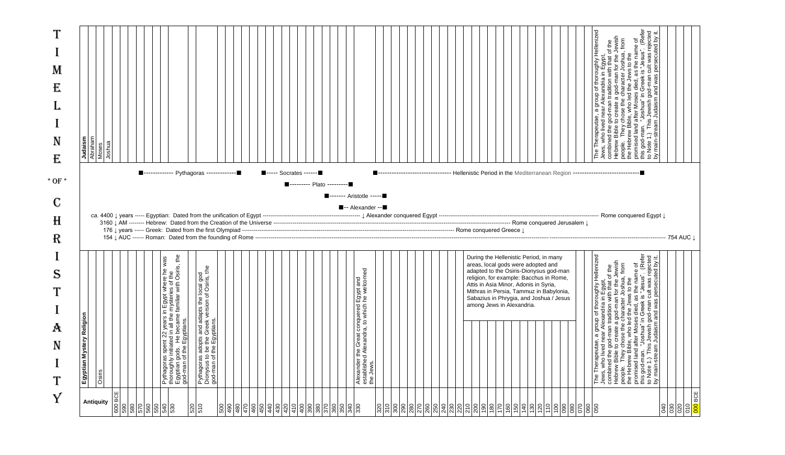| Judaism<br>Abraham         | loshua |                                                                                                                                                                                                     | ■-------------    Pythagoras    -------------    ■                                                                                              | $\blacksquare$ ----- Socrates ------<br>■--------- Plato --------- | ■------- Aristotle -----■                                                                                         | ■------------------------------- Hellenistic Period in the Mediterranean Region ----------------------------                                                                                                                                                                                                                  |                                                                                                                                                                                                                                                          |
|----------------------------|--------|-----------------------------------------------------------------------------------------------------------------------------------------------------------------------------------------------------|-------------------------------------------------------------------------------------------------------------------------------------------------|--------------------------------------------------------------------|-------------------------------------------------------------------------------------------------------------------|-------------------------------------------------------------------------------------------------------------------------------------------------------------------------------------------------------------------------------------------------------------------------------------------------------------------------------|----------------------------------------------------------------------------------------------------------------------------------------------------------------------------------------------------------------------------------------------------------|
|                            |        |                                                                                                                                                                                                     |                                                                                                                                                 |                                                                    | -- Alexander --                                                                                                   |                                                                                                                                                                                                                                                                                                                               |                                                                                                                                                                                                                                                          |
| Religion<br><b>Mystery</b> |        | re he was<br>f the<br>Osiris, the<br>Pythagoras spent 22 years in Egypt wher<br>thoroughly initiated in all the mysteries of<br>Egyptian gods. He became familiar with<br>god-man of the Egyptians. | god<br>ris, the<br>Pythagoras adopts and adapts the local <sub>!</sub><br>Dionysus to be the Greek version of Osir<br>god-man of the Egyptians. |                                                                    | $\overline{a}$<br>Alexander the Great conquered Egypt an<br>established Alexandra, to which he welco<br>the Jews. | During the Hellenistic Period, in many<br>areas, local gods were adopted and<br>adapted to the Osiris-Dionysus god-man<br>religion, for example: Bacchus in Rome,<br>Attis in Asia Minor, Adonis in Syria,<br>Mithras in Persia, Tammuz in Babylonia,<br>Sabazius in Phrygia, and Joshua / Jesus<br>among Jews in Alexandria. | Hellenized<br>The Therapeutae, a group of thoroughly Hellenized<br>Jews, who lived near Alexandria in Egypt,<br>combined the god-man tradition with that of the<br>Hebrew Bible to create a god-man for the Jewish<br>people. They chose the character J |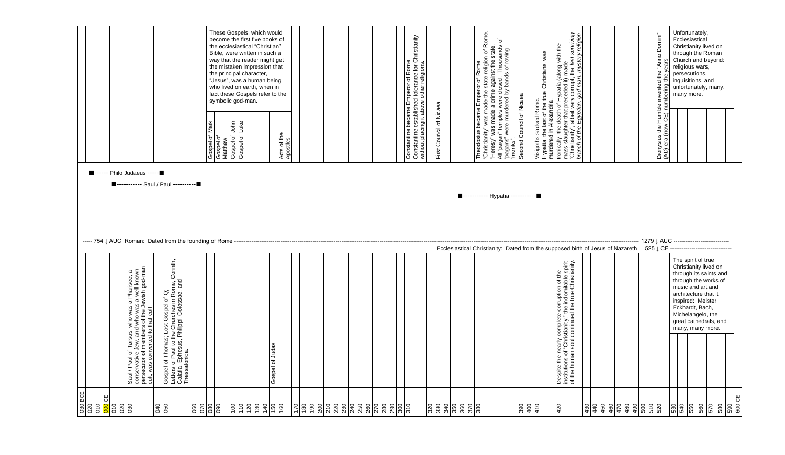|                                                                                                                                                                                                                                                                                                                                               | These Gospels, which would<br>become the first five books of<br>the ecclesiastical "Christian"<br>Bible, were written in such a<br>way that the reader might get<br>the mistaken impression that<br>the principal character,<br>"Jesus", was a human being<br>who lived on earth, when in<br>fact these Gospels refer to the<br>symbolic god-man.<br>Luke<br>Mark<br>$\frac{ \mathbf{c} }{ \mathbf{c} }$<br>Acts of the<br>Apostles<br>Gospel of<br>Gospel of I<br>Gospel of<br>Gospel of<br>Gospel of<br>Matthew | of Rome.<br>Constantine became Emperor of Rome.<br>Constantine established tolerance for Christianity<br>without placing it above other religions.<br>Theodosius became Emperor of Rome.<br>"Christianity" was made the state religion of Rome.<br>"Heresy" was made a crime against the state.<br>All "pagans" temples were closed. Thousands of<br>"pagans" were murdered by bands of roving<br>"<br>Visigoths sacked Rome.<br>Hypatia, the last of the true Christians, was<br>murdered in Alexandria.<br>Second Council of Nicaea<br>First Council of Nicaea | Unfortunately,<br>Ironically, the death of Hypatia (along with the<br>mass slaughter that preceded it) made<br>"Christianity", albeit very corrupt, the <i>last surviving<br/>branch of the Egyptian, god-man, mystery religion</i> .<br>Domini"<br>Ecclesiastical<br>Christianity lived on<br>through the Roman<br>ouuy,<br>Church and beyond:<br>religious wars,<br>Dionysius the Humble invented the<br>(AD) era (now CE) numbering the y<br>persecutions,<br>inquisitions, and<br>unfortunately, many,<br>many more. |  |
|-----------------------------------------------------------------------------------------------------------------------------------------------------------------------------------------------------------------------------------------------------------------------------------------------------------------------------------------------|-------------------------------------------------------------------------------------------------------------------------------------------------------------------------------------------------------------------------------------------------------------------------------------------------------------------------------------------------------------------------------------------------------------------------------------------------------------------------------------------------------------------|------------------------------------------------------------------------------------------------------------------------------------------------------------------------------------------------------------------------------------------------------------------------------------------------------------------------------------------------------------------------------------------------------------------------------------------------------------------------------------------------------------------------------------------------------------------|--------------------------------------------------------------------------------------------------------------------------------------------------------------------------------------------------------------------------------------------------------------------------------------------------------------------------------------------------------------------------------------------------------------------------------------------------------------------------------------------------------------------------|--|
| <b>E------ Philo Judaeus -----</b>                                                                                                                                                                                                                                                                                                            |                                                                                                                                                                                                                                                                                                                                                                                                                                                                                                                   |                                                                                                                                                                                                                                                                                                                                                                                                                                                                                                                                                                  |                                                                                                                                                                                                                                                                                                                                                                                                                                                                                                                          |  |
| ■----------- Saul / Paul ----------■                                                                                                                                                                                                                                                                                                          |                                                                                                                                                                                                                                                                                                                                                                                                                                                                                                                   |                                                                                                                                                                                                                                                                                                                                                                                                                                                                                                                                                                  |                                                                                                                                                                                                                                                                                                                                                                                                                                                                                                                          |  |
|                                                                                                                                                                                                                                                                                                                                               |                                                                                                                                                                                                                                                                                                                                                                                                                                                                                                                   | ■----------- Hypatia -----------                                                                                                                                                                                                                                                                                                                                                                                                                                                                                                                                 |                                                                                                                                                                                                                                                                                                                                                                                                                                                                                                                          |  |
|                                                                                                                                                                                                                                                                                                                                               |                                                                                                                                                                                                                                                                                                                                                                                                                                                                                                                   |                                                                                                                                                                                                                                                                                                                                                                                                                                                                                                                                                                  |                                                                                                                                                                                                                                                                                                                                                                                                                                                                                                                          |  |
|                                                                                                                                                                                                                                                                                                                                               |                                                                                                                                                                                                                                                                                                                                                                                                                                                                                                                   |                                                                                                                                                                                                                                                                                                                                                                                                                                                                                                                                                                  |                                                                                                                                                                                                                                                                                                                                                                                                                                                                                                                          |  |
|                                                                                                                                                                                                                                                                                                                                               |                                                                                                                                                                                                                                                                                                                                                                                                                                                                                                                   |                                                                                                                                                                                                                                                                                                                                                                                                                                                                                                                                                                  |                                                                                                                                                                                                                                                                                                                                                                                                                                                                                                                          |  |
|                                                                                                                                                                                                                                                                                                                                               |                                                                                                                                                                                                                                                                                                                                                                                                                                                                                                                   |                                                                                                                                                                                                                                                                                                                                                                                                                                                                                                                                                                  | Ecclesiastical Christianity: Dated from the supposed birth of Jesus of Nazareth 525 LCE ------------------------------                                                                                                                                                                                                                                                                                                                                                                                                   |  |
| Corinth,<br>Saul / Paul of Tarsus, who was a Pharisee, a<br>conservative Jew, and who was a well-known<br>persecutor of members of the Jewish god-man<br>cult, was converted to that cult.<br>Gospel of Thomas; Lost Gospel of Q;<br>Letters of Paul to the Churches in Rome, (<br>Galatia, Ephesus, Philippi, Colossae, and<br>Thessalonica. | Gospel of Judas                                                                                                                                                                                                                                                                                                                                                                                                                                                                                                   |                                                                                                                                                                                                                                                                                                                                                                                                                                                                                                                                                                  | The spirit of true<br>f the<br>ble spirit<br>istianity.<br>Christianity lived on<br>through its saints and<br>through the works of<br>Despite the nearly complete corruption of<br>institutions of "Christianity," the indomitab<br>of the human soul continued the true Chri<br>music and art and<br>architecture that it<br>inspired: Meister<br>Eckhardt, Bach,<br>Michelangelo, the<br>great cathedrals, and<br>many, many more.                                                                                     |  |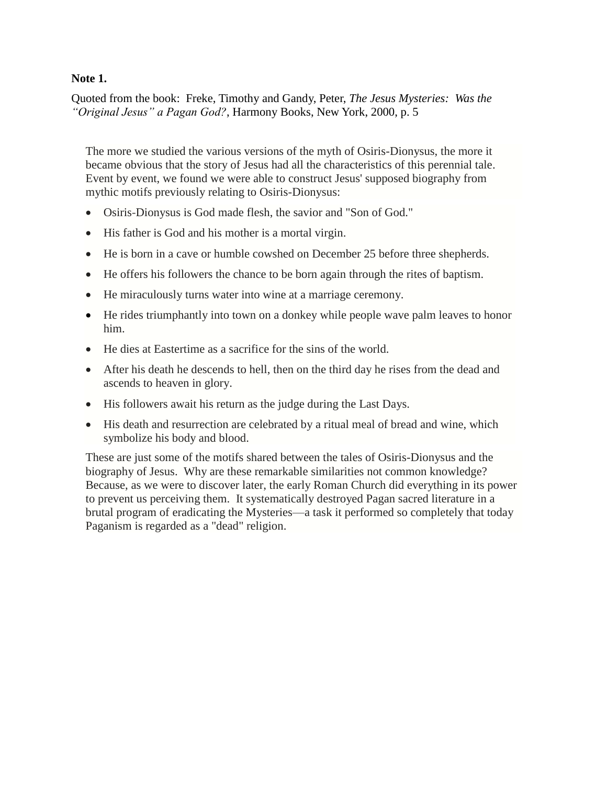## **Note 1.**

Quoted from the book: Freke, Timothy and Gandy, Peter, *The Jesus Mysteries: Was the "Original Jesus" a Pagan God?*, Harmony Books, New York, 2000, p. 5

The more we studied the various versions of the myth of Osiris-Dionysus, the more it became obvious that the story of Jesus had all the characteristics of this perennial tale. Event by event, we found we were able to construct Jesus' supposed biography from mythic motifs previously relating to Osiris-Dionysus:

- Osiris-Dionysus is God made flesh, the savior and "Son of God."
- His father is God and his mother is a mortal virgin.
- He is born in a cave or humble cowshed on December 25 before three shepherds.
- He offers his followers the chance to be born again through the rites of baptism.
- He miraculously turns water into wine at a marriage ceremony.
- He rides triumphantly into town on a donkey while people wave palm leaves to honor him.
- He dies at Eastertime as a sacrifice for the sins of the world.
- After his death he descends to hell, then on the third day he rises from the dead and ascends to heaven in glory.
- His followers await his return as the judge during the Last Days.
- His death and resurrection are celebrated by a ritual meal of bread and wine, which symbolize his body and blood.

These are just some of the motifs shared between the tales of Osiris-Dionysus and the biography of Jesus. Why are these remarkable similarities not common knowledge? Because, as we were to discover later, the early Roman Church did everything in its power to prevent us perceiving them. It systematically destroyed Pagan sacred literature in a brutal program of eradicating the Mysteries—a task it performed so completely that today Paganism is regarded as a "dead" religion.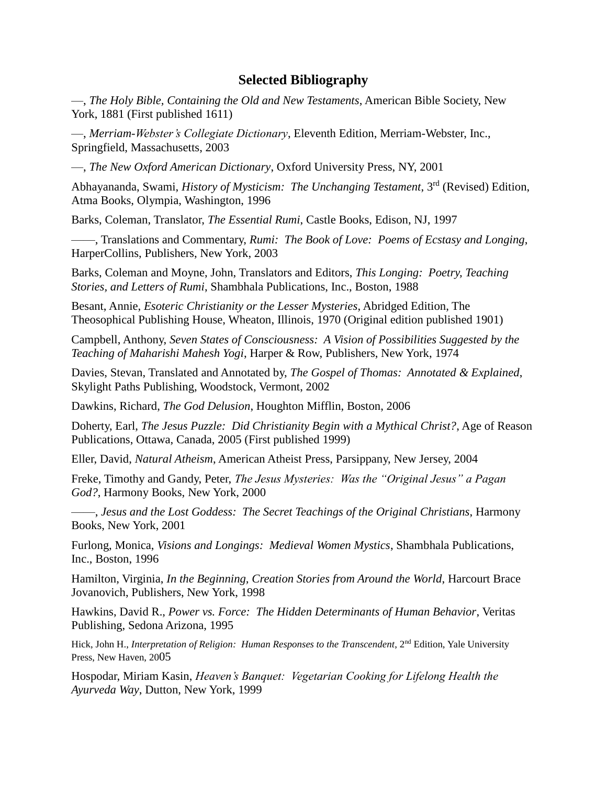## **Selected Bibliography**

—, *The Holy Bible, Containing the Old and New Testaments*, American Bible Society, New York, 1881 (First published 1611)

—, *Merriam-Webster's Collegiate Dictionary*, Eleventh Edition, Merriam-Webster, Inc., Springfield, Massachusetts, 2003

—, *The New Oxford American Dictionary*, Oxford University Press, NY, 2001

Abhayananda, Swami, *History of Mysticism: The Unchanging Testament*, 3rd (Revised) Edition, Atma Books, Olympia, Washington, 1996

Barks, Coleman, Translator, *The Essential Rumi*, Castle Books, Edison, NJ, 1997

——, Translations and Commentary, *Rumi: The Book of Love: Poems of Ecstasy and Longing*, HarperCollins, Publishers, New York, 2003

Barks, Coleman and Moyne, John, Translators and Editors, *This Longing: Poetry, Teaching Stories, and Letters of Rumi*, Shambhala Publications, Inc., Boston, 1988

Besant, Annie, *Esoteric Christianity or the Lesser Mysteries*, Abridged Edition, The Theosophical Publishing House, Wheaton, Illinois, 1970 (Original edition published 1901)

Campbell, Anthony, *Seven States of Consciousness: A Vision of Possibilities Suggested by the Teaching of Maharishi Mahesh Yogi*, Harper & Row, Publishers, New York, 1974

Davies, Stevan, Translated and Annotated by, *The Gospel of Thomas: Annotated & Explained*, Skylight Paths Publishing, Woodstock, Vermont, 2002

Dawkins, Richard, *The God Delusion*, Houghton Mifflin, Boston, 2006

Doherty, Earl, *The Jesus Puzzle: Did Christianity Begin with a Mythical Christ?*, Age of Reason Publications, Ottawa, Canada, 2005 (First published 1999)

Eller, David, *Natural Atheism*, American Atheist Press, Parsippany, New Jersey, 2004

Freke, Timothy and Gandy, Peter, *The Jesus Mysteries: Was the "Original Jesus" a Pagan God?*, Harmony Books, New York, 2000

——, *Jesus and the Lost Goddess: The Secret Teachings of the Original Christians*, Harmony Books, New York, 2001

Furlong, Monica, *Visions and Longings: Medieval Women Mystics*, Shambhala Publications, Inc., Boston, 1996

Hamilton, Virginia, *In the Beginning, Creation Stories from Around the World*, Harcourt Brace Jovanovich, Publishers, New York, 1998

Hawkins, David R., *Power vs. Force: The Hidden Determinants of Human Behavior*, Veritas Publishing, Sedona Arizona, 1995

Hick, John H., *Interpretation of Religion: Human Responses to the Transcendent*, 2<sup>nd</sup> Edition, Yale University Press, New Haven, 2005

Hospodar, Miriam Kasin, *Heaven's Banquet: Vegetarian Cooking for Lifelong Health the Ayurveda Way*, Dutton, New York, 1999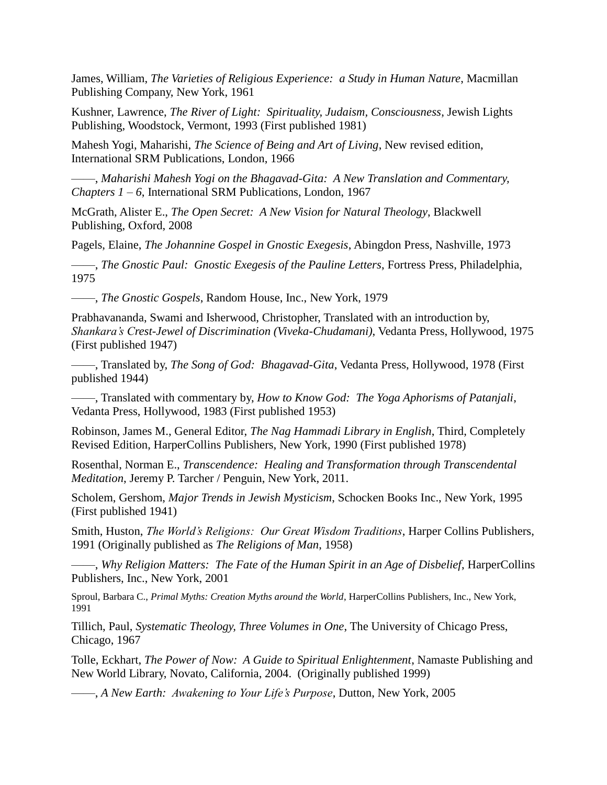James, William, *The Varieties of Religious Experience: a Study in Human Nature*, Macmillan Publishing Company, New York, 1961

Kushner, Lawrence, *The River of Light: Spirituality, Judaism, Consciousness*, Jewish Lights Publishing, Woodstock, Vermont, 1993 (First published 1981)

Mahesh Yogi, Maharishi, *The Science of Being and Art of Living*, New revised edition, International SRM Publications, London, 1966

——, *Maharishi Mahesh Yogi on the Bhagavad-Gita: A New Translation and Commentary, Chapters 1 – 6*, International SRM Publications, London, 1967

McGrath, Alister E., *The Open Secret: A New Vision for Natural Theology*, Blackwell Publishing, Oxford, 2008

Pagels, Elaine, *The Johannine Gospel in Gnostic Exegesis*, Abingdon Press, Nashville, 1973

——, *The Gnostic Paul: Gnostic Exegesis of the Pauline Letters*, Fortress Press, Philadelphia, 1975

——, *The Gnostic Gospels*, Random House, Inc., New York, 1979

Prabhavananda, Swami and Isherwood, Christopher, Translated with an introduction by, *Shankara's Crest-Jewel of Discrimination (Viveka-Chudamani)*, Vedanta Press, Hollywood, 1975 (First published 1947)

——, Translated by, *The Song of God: Bhagavad-Gita*, Vedanta Press, Hollywood, 1978 (First published 1944)

——, Translated with commentary by, *How to Know God: The Yoga Aphorisms of Patanjali*, Vedanta Press, Hollywood, 1983 (First published 1953)

Robinson, James M., General Editor, *The Nag Hammadi Library in English*, Third, Completely Revised Edition, HarperCollins Publishers, New York, 1990 (First published 1978)

Rosenthal, Norman E., *Transcendence: Healing and Transformation through Transcendental Meditation*, Jeremy P. Tarcher / Penguin, New York, 2011.

Scholem, Gershom, *Major Trends in Jewish Mysticism*, Schocken Books Inc., New York, 1995 (First published 1941)

Smith, Huston, *The World's Religions: Our Great Wisdom Traditions*, Harper Collins Publishers, 1991 (Originally published as *The Religions of Man*, 1958)

——, *Why Religion Matters: The Fate of the Human Spirit in an Age of Disbelief*, HarperCollins Publishers, Inc., New York, 2001

Sproul, Barbara C., *Primal Myths: Creation Myths around the World*, HarperCollins Publishers, Inc., New York, 1991

Tillich, Paul, *Systematic Theology, Three Volumes in One*, The University of Chicago Press, Chicago, 1967

Tolle, Eckhart, *The Power of Now: A Guide to Spiritual Enlightenment*, Namaste Publishing and New World Library, Novato, California, 2004. (Originally published 1999)

——, *A New Earth: Awakening to Your Life's Purpose*, Dutton, New York, 2005